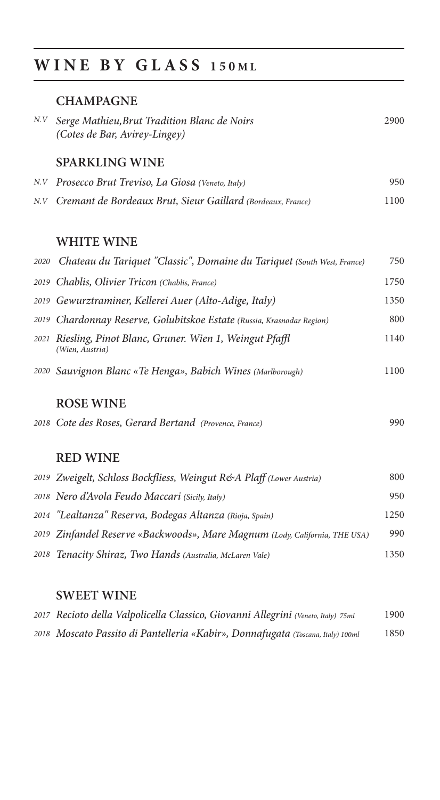# WINE BY GLASS 150ML

#### **CHAMPAGNE**

| N.V | Serge Mathieu, Brut Tradition Blanc de Noirs<br>(Cotes de Bar, Avirey-Lingey) | 2900  |
|-----|-------------------------------------------------------------------------------|-------|
|     | <b>SPARKLING WINE</b>                                                         |       |
|     | N.V Prosecco Brut Treviso, La Giosa (Veneto, Italy)                           | 950   |
|     | N.V Cremant de Bordeaux Brut, Sieur Gaillard (Bordeaux, France)               | 1100. |

#### **WHITE WINE**

| 2020 | Chateau du Tariquet "Classic", Domaine du Tariquet (South West, France)       | 750  |
|------|-------------------------------------------------------------------------------|------|
|      | 2019 Chablis, Olivier Tricon (Chablis, France)                                | 1750 |
|      | 2019 Gewurztraminer, Kellerei Auer (Alto-Adige, Italy)                        | 1350 |
|      | 2019 Chardonnay Reserve, Golubitskoe Estate (Russia, Krasnodar Region)        | 800  |
|      | 2021 Riesling, Pinot Blanc, Gruner. Wien 1, Weingut Pfaffl<br>(Wien, Austria) | 1140 |
|      | 2020 Sauvignon Blanc «Te Henga», Babich Wines (Marlborough)                   | 1100 |

#### **ROSE WINE**

|  |  | 2018 Cote des Roses, Gerard Bertand (Provence, France) |  | 990 |
|--|--|--------------------------------------------------------|--|-----|
|--|--|--------------------------------------------------------|--|-----|

#### **RED WINE**

| 2019 Zweigelt, Schloss Bockfliess, Weingut R&A Plaff (Lower Austria)        | 800  |
|-----------------------------------------------------------------------------|------|
| 2018 Nero d'Avola Feudo Maccari (Sicily, Italy)                             | 950  |
| 2014 "Lealtanza" Reserva, Bodegas Altanza (Rioja, Spain)                    | 1250 |
| 2019 Zinfandel Reserve «Backwoods», Mare Magnum (Lody, California, THE USA) | 990  |
| 2018 Tenacity Shiraz, Two Hands (Australia, McLaren Vale)                   | 1350 |

### **SWEET WINE**

| 2017 Recioto della Valpolicella Classico, Giovanni Allegrini (Veneto, Italy) 75ml | 1900 |
|-----------------------------------------------------------------------------------|------|
| 2018 Moscato Passito di Pantelleria «Kabir», Donnafugata (Toscana, Italy) 100ml   | 1850 |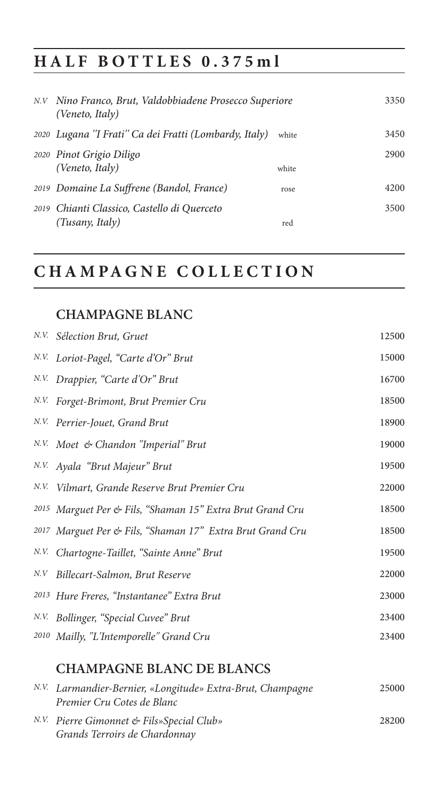# **HALF BOTTLES 0.375ml**

| N.V Nino Franco, Brut, Valdobbiadene Prosecco Superiore<br>(Veneto, Italy) |       | 3350 |
|----------------------------------------------------------------------------|-------|------|
| 2020 Lugana "I Frati" Ca dei Fratti (Lombardy, Italy)                      | white | 3450 |
| 2020 Pinot Grigio Diligo<br>(Veneto, Italy)                                | white | 2900 |
| 2019 Domaine La Suffrene (Bandol, France)                                  | rose  | 4200 |
| 2019 Chianti Classico, Castello di Querceto<br>(Tusany, Italy)             | red   | 3500 |

## **C HA M PAG N E C OL L E C T ION**

## **CHAMPAGNE BLANC**

|     | N.V. Sélection Brut, Gruet                                | 12500 |
|-----|-----------------------------------------------------------|-------|
|     | N.V. Loriot-Pagel, "Carte d'Or" Brut                      | 15000 |
|     | N.V. Drappier, "Carte d'Or" Brut                          | 16700 |
|     | N.V. Forget-Brimont, Brut Premier Cru                     | 18500 |
|     | N.V. Perrier-Jouet, Grand Brut                            | 18900 |
|     | N.V. Moet & Chandon "Imperial" Brut                       | 19000 |
|     | N.V. Ayala "Brut Majeur" Brut                             | 19500 |
|     | N.V. Vilmart, Grande Reserve Brut Premier Cru             | 22000 |
|     | 2015 Marguet Per & Fils, "Shaman 15" Extra Brut Grand Cru | 18500 |
|     | 2017 Marguet Per & Fils, "Shaman 17" Extra Brut Grand Cru | 18500 |
|     | N.V. Chartogne-Taillet, "Sainte Anne" Brut                | 19500 |
| N.V | Billecart-Salmon, Brut Reserve                            | 22000 |
|     | 2013 Hure Freres, "Instantanee" Extra Brut                | 23000 |
|     | N.V. Bollinger, "Special Cuvee" Brut                      | 23400 |
|     | 2010 Mailly, "L'Intemporelle" Grand Cru                   | 23400 |
|     |                                                           |       |

### **CHAMPAGNE BLANC DE BLANCS**

| N.V. Larmandier-Bernier, «Longitude» Extra-Brut, Champagne<br>Premier Cru Cotes de Blanc | 25000 |
|------------------------------------------------------------------------------------------|-------|
| N.V. Pierre Gimonnet & Fils» Special Club»<br>Grands Terroirs de Chardonnay              | 28200 |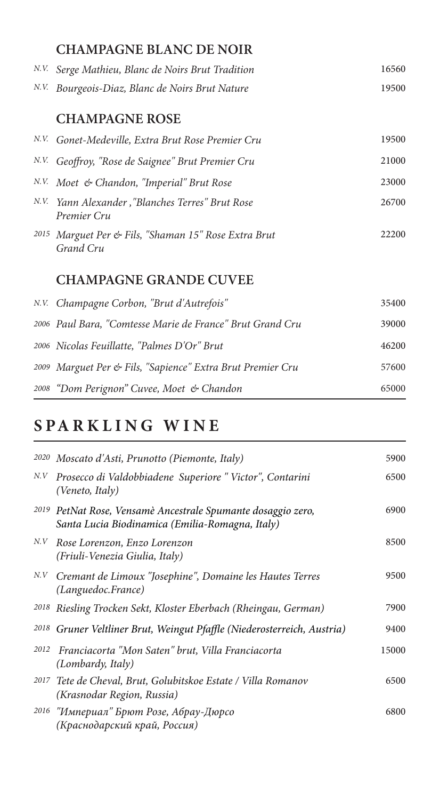|      | <b>CHAMPAGNE BLANC DE NOIR</b>                                    |       |
|------|-------------------------------------------------------------------|-------|
| N.V. | Serge Mathieu, Blanc de Noirs Brut Tradition                      | 16560 |
| N.V. | Bourgeois-Diaz, Blanc de Noirs Brut Nature                        | 19500 |
|      | <b>CHAMPAGNE ROSE</b>                                             |       |
|      | N.V. Gonet-Medeville, Extra Brut Rose Premier Cru                 | 19500 |
| N.V. | Geoffroy, "Rose de Saignee" Brut Premier Cru                      | 21000 |
| N.V. | Moet & Chandon, "Imperial" Brut Rose                              | 23000 |
| N.V. | Yann Alexander, "Blanches Terres" Brut Rose<br>Premier Cru        | 26700 |
|      | 2015 Marguet Per & Fils, "Shaman 15" Rose Extra Brut<br>Grand Cru | 22200 |
|      | <b>CHAMPAGNE GRANDE CUVEE</b>                                     |       |
|      | N.V. Champagne Corbon, "Brut d'Autrefois"                         | 35400 |
|      | 2006 Paul Bara, "Comtesse Marie de France" Brut Grand Cru         | 39000 |
|      | 2006 Nicolas Feuillatte, "Palmes D'Or" Brut                       | 46200 |
|      | 2009 Marguet Per & Fils, "Sapience" Extra Brut Premier Cru        | 57600 |
|      | 2008 "Dom Perignon" Cuvee, Moet & Chandon                         | 65000 |

# **SPA R K L I NG W I N E**

| 2020 | Moscato d'Asti, Prunotto (Piemonte, Italy)                                                                                 | 5900  |
|------|----------------------------------------------------------------------------------------------------------------------------|-------|
| N.V  | Prosecco di Valdobbiadene Superiore "Victor", Contarini<br>(Veneto, Italy)                                                 | 6500  |
|      | <sup>2019</sup> PetNat Rose, Vensamè Ancestrale Spumante dosaggio zero,<br>Santa Lucia Biodinamica (Emilia-Romagna, Italy) | 6900  |
|      | N.V Rose Lorenzon, Enzo Lorenzon<br>(Friuli-Venezia Giulia, Italy)                                                         | 8500  |
|      | N.V Cremant de Limoux "Josephine", Domaine les Hautes Terres<br>(Languedoc.France)                                         | 9500  |
|      | <sup>2018</sup> Riesling Trocken Sekt, Kloster Eberbach (Rheingau, German)                                                 | 7900  |
| 2018 | Gruner Veltliner Brut, Weingut Pfaffle (Niederosterreich, Austria)                                                         | 9400  |
| 2012 | Franciacorta "Mon Saten" brut, Villa Franciacorta<br>(Lombardy, Italy)                                                     | 15000 |
|      | <sup>2017</sup> Tete de Cheval, Brut, Golubitskoe Estate / Villa Romanov<br>(Krasnodar Region, Russia)                     | 6500  |
|      | 2016 "Империал" Брют Розе, Абрау-Дюрсо<br>(Краснодарский край, Россия)                                                     | 6800  |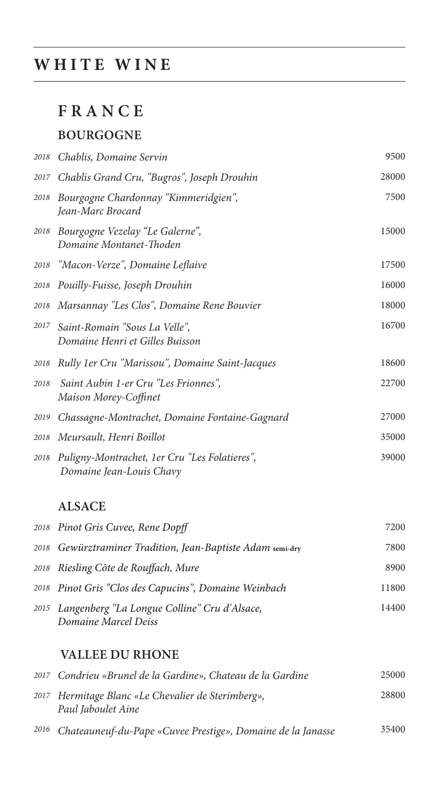## **WHITE WINE**

## **F R A N C E BOURGOGNE**

|      | 2018 Chablis, Domaine Servin                                              | 9500  |
|------|---------------------------------------------------------------------------|-------|
|      | 2017 Chablis Grand Cru, "Bugros", Joseph Drouhin                          | 28000 |
| 2018 | Bourgogne Chardonnay "Kimmeridgien",<br>Jean-Marc Brocard                 | 7500  |
|      | 2018 Bourgogne Vezelay "Le Galerne",<br>Domaine Montanet-Thoden           | 15000 |
| 2018 | "Macon-Verze", Domaine Leflaive                                           | 17500 |
|      | 2018 Pouilly-Fuisse, Joseph Drouhin                                       | 16000 |
| 2018 | Marsannay "Les Clos", Domaine Rene Bouvier                                | 18000 |
| 2017 | Saint-Romain "Sous La Velle",<br>Domaine Henri et Gilles Buisson          | 16700 |
| 2018 | Rully 1er Cru "Marissou", Domaine Saint-Jacques                           | 18600 |
| 2018 | Saint Aubin 1-er Cru "Les Frionnes",<br>Maison Morey-Coffinet             | 22700 |
| 2019 | Chassagne-Montrachet, Domaine Fontaine-Gagnard                            | 27000 |
|      | 2018 Meursault, Henri Boillot                                             | 35000 |
| 2018 | Puligny-Montrachet, 1er Cru "Les Folatieres",<br>Domaine Jean-Louis Chavy | 39000 |

## **ALSACE**

| 2018 Pinot Gris Cuvee, Rene Dopff                                         | 7200  |
|---------------------------------------------------------------------------|-------|
| 2018 Gewürztraminer Tradition, Jean-Baptiste Adam semi-dry                | 7800  |
| 2018 Riesling Côte de Rouffach, Mure                                      | 8900  |
| 2018 Pinot Gris "Clos des Capucins", Domaine Weinbach                     | 11800 |
| 2015 Langenberg "La Longue Colline" Cru d'Alsace,<br>Domaine Marcel Deiss | 14400 |

#### **VALLEE DU RHONE**

| 2017 Condrieu «Brunel de la Gardine», Chateau de la Gardine                 | 25000 |
|-----------------------------------------------------------------------------|-------|
| 2017 Hermitage Blanc «Le Chevalier de Sterimberg»,<br>Paul Jaboulet Aine    | 28800 |
| <sup>2016</sup> Chateauneuf-du-Pape «Cuvee Prestige», Domaine de la Janasse | 35400 |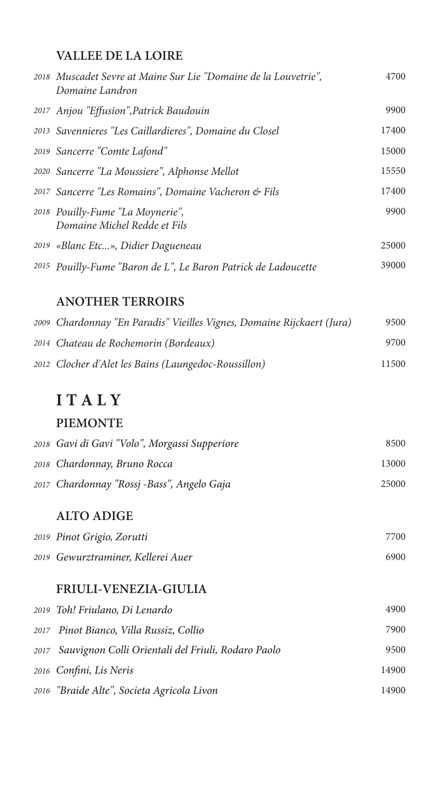## **VALLEE DE LA LOIRE**

|      | 2018 Muscadet Sevre at Maine Sur Lie "Domaine de la Louvetrie",<br>Domaine Landron | 4700  |
|------|------------------------------------------------------------------------------------|-------|
|      | 2017 Anjou "Effusion", Patrick Baudouin                                            | 9900  |
|      | 2013 Savennieres "Les Caillardieres", Domaine du Closel                            | 17400 |
|      | 2019 Sancerre "Comte Lafond"                                                       | 15000 |
|      | 2020 Sancerre "La Moussiere", Alphonse Mellot                                      | 15550 |
|      | 2017 Sancerre "Les Romains", Domaine Vacheron & Fils                               | 17400 |
|      | 2018 Pouilly-Fume "La Moynerie",<br>Domaine Michel Redde et Fils                   | 9900  |
|      | 2019 «Blanc Etc», Didier Dagueneau                                                 | 25000 |
|      | <sup>2015</sup> Pouilly-Fume "Baron de L", Le Baron Patrick de Ladoucette          | 39000 |
|      | <b>ANOTHER TERROIRS</b>                                                            |       |
|      | 2009 Chardonnay "En Paradis" Vieilles Vignes, Domaine Rijckaert (Jura)             | 9500  |
|      | 2014 Chateau de Rochemorin (Bordeaux)                                              | 9700  |
|      | 2012 Clocher d'Alet les Bains (Laungedoc-Roussillon)                               | 11500 |
|      | ITALY                                                                              |       |
|      | <b>PIEMONTE</b>                                                                    |       |
|      | 2018 Gavi di Gavi "Volo", Morgassi Supperiore                                      | 8500  |
|      | 2018 Chardonnay, Bruno Rocca                                                       | 13000 |
|      | 2017 Chardonnay "Rossj -Bass", Angelo Gaja                                         | 25000 |
|      | <b>ALTO ADIGE</b>                                                                  |       |
|      | 2019 Pinot Grigio, Zorutti                                                         | 7700  |
|      | 2019 Gewurztraminer, Kellerei Auer                                                 | 6900  |
|      | <b>FRIULI-VENEZIA-GIULIA</b>                                                       |       |
|      | 2019 Toh! Friulano, Di Lenardo                                                     | 4900  |
| 2017 | Pinot Bianco, Villa Russiz, Collio                                                 | 7900  |
| 2017 | Sauvignon Colli Orientali del Friuli, Rodaro Paolo                                 | 9500  |
|      | 2016 Confini, Lis Neris                                                            | 14900 |
| 2016 | "Braide Alte", Societa Agricola Livon                                              | 14900 |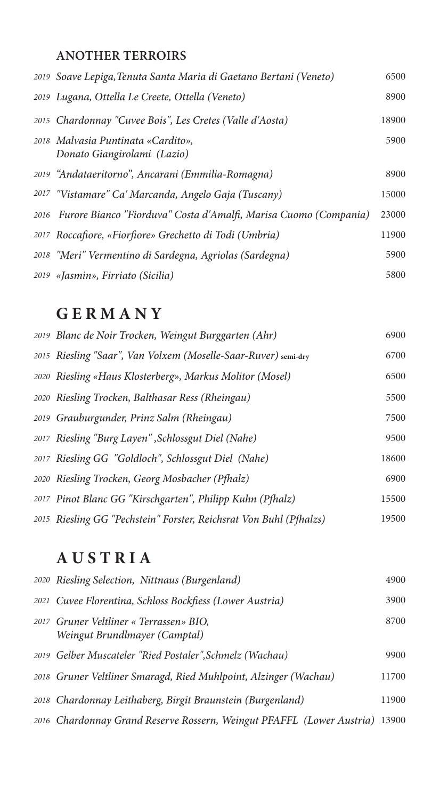### **ANOTHER TERROIRS**

| 2019 Soave Lepiga, Tenuta Santa Maria di Gaetano Bertani (Veneto)     | 6500  |
|-----------------------------------------------------------------------|-------|
| 2019 Lugana, Ottella Le Creete, Ottella (Veneto)                      | 8900  |
| 2015 Chardonnay "Cuvee Bois", Les Cretes (Valle d'Aosta)              | 18900 |
| 2018 Malvasia Puntinata «Cardito»,<br>Donato Giangirolami (Lazio)     | 5900  |
| 2019 "Andataeritorno", Ancarani (Emmilia-Romagna)                     | 8900  |
| <sup>2017</sup> "Vistamare" Ca' Marcanda, Angelo Gaja (Tuscany)       | 15000 |
| 2016 Furore Bianco "Fiorduva" Costa d'Amalfi, Marisa Cuomo (Compania) | 23000 |
| 2017 Roccafiore, «Fiorfiore» Grechetto di Todi (Umbria)               | 11900 |
| 2018 "Meri" Vermentino di Sardegna, Agriolas (Sardegna)               | 5900  |
| 2019 «Jasmin», Firriato (Sicilia)                                     | 5800  |

## **G E R M A N Y**

| 2019 Blanc de Noir Trocken, Weingut Burggarten (Ahr)               | 6900  |
|--------------------------------------------------------------------|-------|
| 2015 Riesling "Saar", Van Volxem (Moselle-Saar-Ruver) semi-dry     | 6700  |
| 2020 Riesling «Haus Klosterberg», Markus Molitor (Mosel)           | 6500  |
| 2020 Riesling Trocken, Balthasar Ress (Rheingau)                   | 5500  |
| 2019 Grauburgunder, Prinz Salm (Rheingau)                          | 7500  |
| 2017 Riesling "Burg Layen", Schlossgut Diel (Nahe)                 | 9500  |
| 2017 Riesling GG "Goldloch", Schlossgut Diel (Nahe)                | 18600 |
| 2020 Riesling Trocken, Georg Mosbacher (Pfhalz)                    | 6900  |
| 2017 Pinot Blanc GG "Kirschgarten", Philipp Kuhn (Pfhalz)          | 15500 |
| 2015 Riesling GG "Pechstein" Forster, Reichsrat Von Buhl (Pfhalzs) | 19500 |

## **A U S T R I A**

| 2020 Riesling Selection, Nittnaus (Burgenland)                              | 4900  |
|-----------------------------------------------------------------------------|-------|
| 2021 Cuvee Florentina, Schloss Bockfiess (Lower Austria)                    | 3900  |
| 2017 Gruner Veltliner « Terrassen» BIO,<br>Weingut Brundlmayer (Camptal)    | 8700  |
| 2019 Gelber Muscateler "Ried Postaler", Schmelz (Wachau)                    | 9900  |
| 2018 Gruner Veltliner Smaragd, Ried Muhlpoint, Alzinger (Wachau)            | 11700 |
| 2018 Chardonnay Leithaberg, Birgit Braunstein (Burgenland)                  | 11900 |
| 2016 Chardonnay Grand Reserve Rossern, Weingut PFAFFL (Lower Austria) 13900 |       |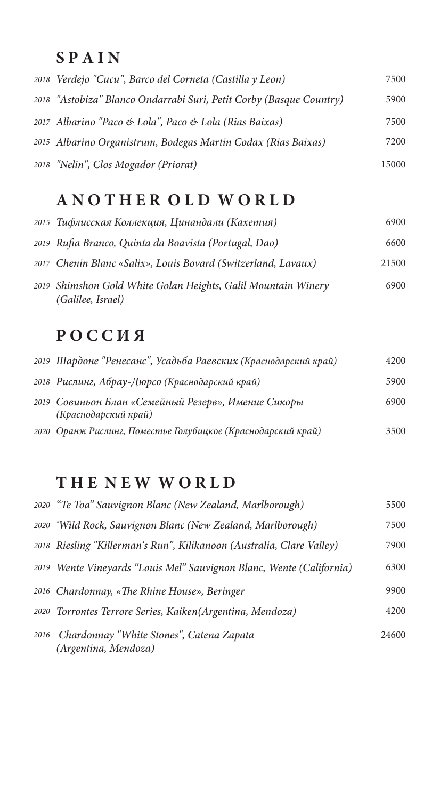## **S P A I N**

| 2018 Verdejo "Cucu", Barco del Corneta (Castilla y Leon)            | 7500  |
|---------------------------------------------------------------------|-------|
| 2018 "Astobiza" Blanco Ondarrabi Suri, Petit Corby (Basque Country) | 5900  |
| 2017 Albarino "Paco & Lola", Paco & Lola (Rias Baixas)              | 7500  |
| 2015 Albarino Organistrum, Bodegas Martin Codax (Rias Baixas)       | 7200  |
| 2018 "Nelin", Clos Mogador (Priorat)                                | 15000 |

## **A N O T H E R O L D W O R L D**

| 2015 Тифлисская Коллекция, Цинандали (Кахетия)                                     | 6900  |
|------------------------------------------------------------------------------------|-------|
| 2019 Rufia Branco, Quinta da Boavista (Portugal, Dao)                              | 6600  |
| 2017 Chenin Blanc «Salix», Louis Bovard (Switzerland, Lavaux)                      | 21500 |
| 2019 Shimshon Gold White Golan Heights, Galil Mountain Winery<br>(Galilee, Israel) | 6900  |

## **Р О С С И Я**

| 2019 Шардоне "Ренесанс", Усадьба Раевских (Краснодарский край)              | 4200 |
|-----------------------------------------------------------------------------|------|
| 2018 Рислинг, Абрау-Дюрсо (Краснодарский край)                              | 5900 |
| 2019 Совиньон Блан «Семейный Резерв», Имение Сикоры<br>(Краснодарский край) | 6900 |
| 2020 Оранж Рислинг, Поместье Голубицкое (Краснодарский край)                | 3500 |

# **T H E N E W W O R L D**

| 2020 "Te Toa" Sauvignon Blanc (New Zealand, Marlborough)              | 5500  |
|-----------------------------------------------------------------------|-------|
| 2020 'Wild Rock, Sauvignon Blanc (New Zealand, Marlborough)           | 7500  |
| 2018 Riesling "Killerman's Run", Kilikanoon (Australia, Clare Valley) | 7900  |
| 2019 Wente Vineyards "Louis Mel" Sauvignon Blanc, Wente (California)  | 6300  |
| 2016 Chardonnay, «The Rhine House», Beringer                          | 9900  |
| 2020 Torrontes Terrore Series, Kaiken(Argentina, Mendoza)             | 4200  |
| 2016 Chardonnay "White Stones", Catena Zapata<br>(Argentina, Mendoza) | 24600 |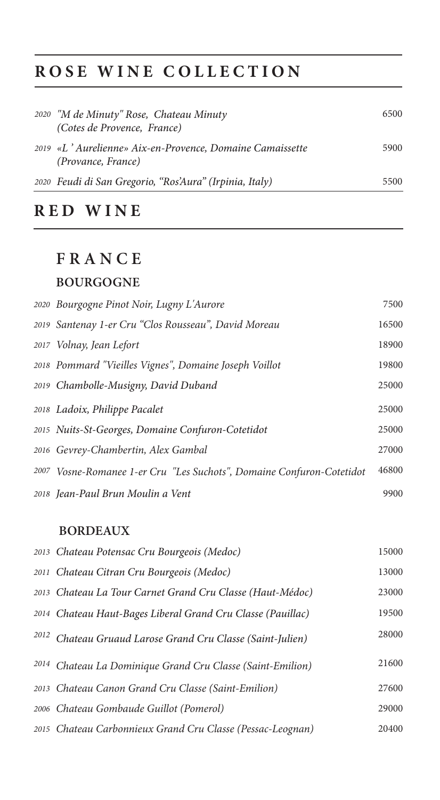# **ROSE WINE COLLECTION**

|                                                                                | 6500 |
|--------------------------------------------------------------------------------|------|
| 2019 «L'Aurelienne» Aix-en-Provence, Domaine Camaissette<br>(Provance, France) | 5900 |
| 2020 Feudi di San Gregorio, "Ros'Aura" (Irpinia, Italy)                        | 5500 |

## **RED WINE**

## **F R A N C E**

### **BOURGOGNE**

| 2020 Bourgogne Pinot Noir, Lugny L'Aurore                                        | 7500  |
|----------------------------------------------------------------------------------|-------|
| 2019 Santenay 1-er Cru "Clos Rousseau", David Moreau                             | 16500 |
| 2017 Volnay, Jean Lefort                                                         | 18900 |
| 2018 Pommard "Vieilles Vignes", Domaine Joseph Voillot                           | 19800 |
| 2019 Chambolle-Musigny, David Duband                                             | 25000 |
| 2018 Ladoix, Philippe Pacalet                                                    | 25000 |
| 2015 Nuits-St-Georges, Domaine Confuron-Cotetidot                                | 25000 |
| 2016 Gevrey-Chambertin, Alex Gambal                                              | 27000 |
| <sup>2007</sup> Vosne-Romanee 1-er Cru "Les Suchots", Domaine Confuron-Cotetidot | 46800 |
| 2018 Jean-Paul Brun Moulin a Vent                                                | 9900  |

### **BORDEAUX**

| 2013 Chateau Potensac Cru Bourgeois (Medoc)                           | 15000 |
|-----------------------------------------------------------------------|-------|
| 2011 Chateau Citran Cru Bourgeois (Medoc)                             | 13000 |
| 2013 Chateau La Tour Carnet Grand Cru Classe (Haut-Médoc)             | 23000 |
| 2014 Chateau Haut-Bages Liberal Grand Cru Classe (Pauillac)           | 19500 |
| <sup>2012</sup> Chateau Gruaud Larose Grand Cru Classe (Saint-Julien) | 28000 |
| <sup>2014</sup> Chateau La Dominique Grand Cru Classe (Saint-Emilion) | 21600 |
| 2013 Chateau Canon Grand Cru Classe (Saint-Emilion)                   | 27600 |
| 2006 Chateau Gombaude Guillot (Pomerol)                               | 29000 |
| 2015 Chateau Carbonnieux Grand Cru Classe (Pessac-Leognan)            | 20400 |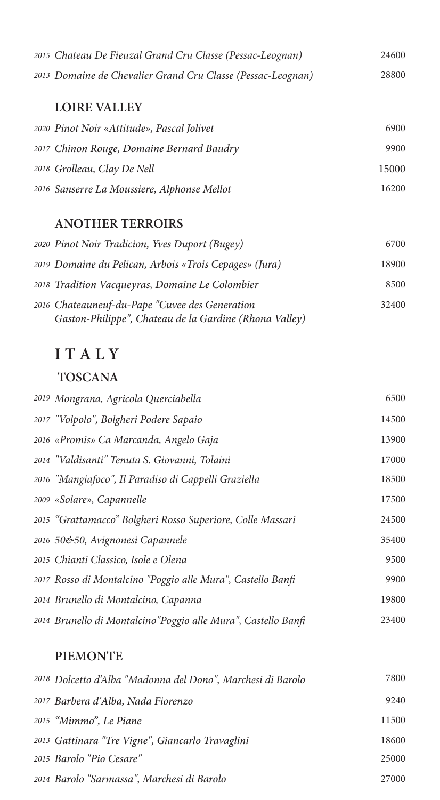| 2015 Chateau De Fieuzal Grand Cru Classe (Pessac-Leognan)   | 24600 |
|-------------------------------------------------------------|-------|
| 2013 Domaine de Chevalier Grand Cru Classe (Pessac-Leognan) | 28800 |

### **LOIRE VALLEY**

| 2020 Pinot Noir «Attitude», Pascal Jolivet  | 6900  |
|---------------------------------------------|-------|
| 2017 Chinon Rouge, Domaine Bernard Baudry   | 9900  |
| 2018 Grolleau, Clay De Nell                 | 15000 |
| 2016 Sanserre La Moussiere, Alphonse Mellot | 16200 |

## **ANOTHER TERROIRS**

| 2020 Pinot Noir Tradicion, Yves Duport (Bugey)                                                           | 6700  |
|----------------------------------------------------------------------------------------------------------|-------|
| 2019 Domaine du Pelican, Arbois «Trois Cepages» (Jura)                                                   | 18900 |
| 2018 Tradition Vacqueyras, Domaine Le Colombier                                                          | 8500  |
| 2016 Chateauneuf-du-Pape "Cuvee des Generation<br>Gaston-Philippe", Chateau de la Gardine (Rhona Valley) | 32400 |

# **I T A L Y TOSCANA**

| 2019 Mongrana, Agricola Querciabella                           | 6500  |
|----------------------------------------------------------------|-------|
| 2017 "Volpolo", Bolgheri Podere Sapaio                         | 14500 |
| 2016 «Promis» Ca Marcanda, Angelo Gaja                         | 13900 |
| 2014 "Valdisanti" Tenuta S. Giovanni, Tolaini                  | 17000 |
| 2016 "Mangiafoco", Il Paradiso di Cappelli Graziella           | 18500 |
| 2009 «Solare», Capannelle                                      | 17500 |
| 2015 "Grattamacco" Bolgheri Rosso Superiore, Colle Massari     | 24500 |
| 2016 50&50, Avignonesi Capannele                               | 35400 |
| 2015 Chianti Classico, Isole e Olena                           | 9500  |
| 2017 Rosso di Montalcino "Poggio alle Mura", Castello Banfi    | 9900  |
| 2014 Brunello di Montalcino, Capanna                           | 19800 |
| 2014 Brunello di Montalcino "Poggio alle Mura", Castello Banfi | 23400 |

### **PIEMONTE**

| 2018 Dolcetto d'Alba "Madonna del Dono", Marchesi di Barolo | 7800  |
|-------------------------------------------------------------|-------|
| 2017 Barbera d'Alba, Nada Fiorenzo                          | 9240  |
| 2015 "Mimmo", Le Piane                                      | 11500 |
| 2013 Gattinara "Tre Vigne", Giancarlo Travaglini            | 18600 |
| 2015 Barolo "Pio Cesare"                                    | 25000 |
| 2014 Barolo "Sarmassa", Marchesi di Barolo                  | 27000 |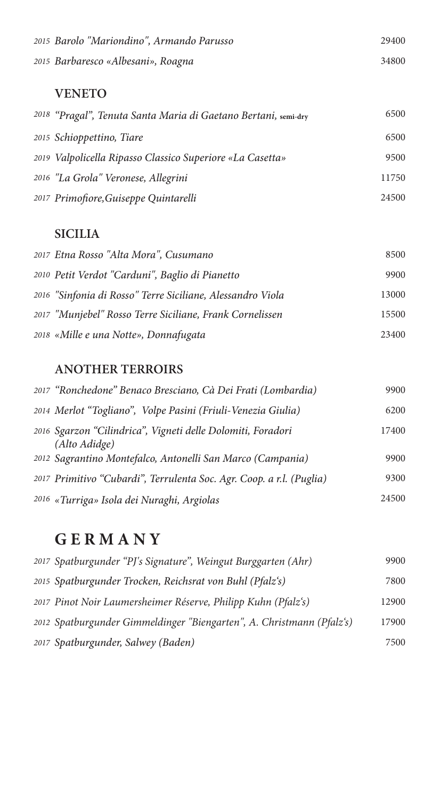| 2015 Barolo "Mariondino", Armando Parusso | 29400 |
|-------------------------------------------|-------|
| 2015 Barbaresco «Albesani», Roagna        | 34800 |

### **VENETO**

| <sup>2018</sup> "Pragal", Tenuta Santa Maria di Gaetano Bertani, semi-dry | 6500  |
|---------------------------------------------------------------------------|-------|
| 2015 Schioppettino, Tiare                                                 | 6500  |
| 2019 Valpolicella Ripasso Classico Superiore «La Casetta»                 | 9500  |
| 2016 "La Grola" Veronese, Allegrini                                       | 11750 |
| 2017 Primofiore, Guiseppe Quintarelli                                     | 24500 |

## **SICILIA**

| 2017 Etna Rosso "Alta Mora", Cusumano                      | 8500  |
|------------------------------------------------------------|-------|
| 2010 Petit Verdot "Carduni", Baglio di Pianetto            | 9900  |
| 2016 "Sinfonia di Rosso" Terre Siciliane, Alessandro Viola | 13000 |
| 2017 "Munjebel" Rosso Terre Siciliane, Frank Cornelissen   | 15500 |
| 2018 «Mille e una Notte», Donnafugata                      | 23400 |

### **ANOTHER TERROIRS**

| 2017 "Ronchedone" Benaco Bresciano, Cà Dei Frati (Lombardia)                 | 9900  |
|------------------------------------------------------------------------------|-------|
| 2014 Merlot "Togliano", Volpe Pasini (Friuli-Venezia Giulia)                 | 6200  |
| 2016 Sgarzon "Cilindrica", Vigneti delle Dolomiti, Foradori<br>(Alto Adidge) | 17400 |
| 2012 Sagrantino Montefalco, Antonelli San Marco (Campania)                   | 9900  |
| 2017 Primitivo "Cubardi", Terrulenta Soc. Agr. Coop. a r.l. (Puglia)         | 9300  |
| <sup>2016</sup> «Turriga» Isola dei Nuraghi, Argiolas                        | 24500 |

# **G E R M A N Y**

| 2017 Spatburgunder "PJ's Signature", Weingut Burggarten (Ahr)         | 9900  |
|-----------------------------------------------------------------------|-------|
| 2015 Spatburgunder Trocken, Reichsrat von Buhl (Pfalz's)              | 7800  |
| 2017 Pinot Noir Laumersheimer Réserve, Philipp Kuhn (Pfalz's)         | 12900 |
| 2012 Spatburgunder Gimmeldinger "Biengarten", A. Christmann (Pfalz's) | 17900 |
| 2017 Spatburgunder, Salwey (Baden)                                    | 7500  |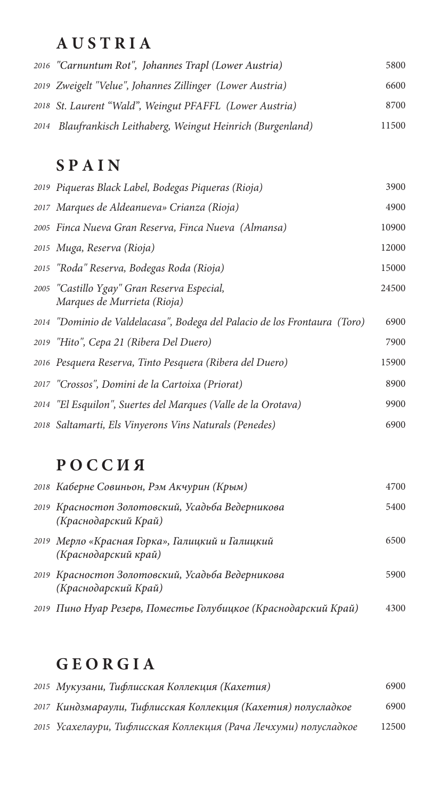## **A U S T R I A**

| 2016 "Carnuntum Rot", Johannes Trapl (Lower Austria)         | 5800  |
|--------------------------------------------------------------|-------|
| 2019 Zweigelt "Velue", Johannes Zillinger (Lower Austria)    | 6600  |
| 2018 St. Laurent "Wald", Weingut PFAFFL (Lower Austria)      | 8700  |
| 2014 Blaufrankisch Leithaberg, Weingut Heinrich (Burgenland) | 11500 |

## **S P A I N**

| 2019 Piqueras Black Label, Bodegas Piqueras (Rioja)                        | 3900  |
|----------------------------------------------------------------------------|-------|
| 2017 Marques de Aldeanueva» Crianza (Rioja)                                | 4900  |
| 2005 Finca Nueva Gran Reserva, Finca Nueva (Almansa)                       | 10900 |
| 2015 Muga, Reserva (Rioja)                                                 | 12000 |
| 2015 "Roda" Reserva, Bodegas Roda (Rioja)                                  | 15000 |
| 2005 "Castillo Ygay" Gran Reserva Especial,<br>Marques de Murrieta (Rioja) | 24500 |
| 2014 "Dominio de Valdelacasa", Bodega del Palacio de los Frontaura (Toro)  | 6900  |
| 2019 "Hito", Cepa 21 (Ribera Del Duero)                                    | 7900  |
| 2016 Pesquera Reserva, Tinto Pesquera (Ribera del Duero)                   | 15900 |
| 2017 "Crossos", Domini de la Cartoixa (Priorat)                            | 8900  |
| 2014 "El Esquilon", Suertes del Marques (Valle de la Orotava)              | 9900  |
| 2018 Saltamarti, Els Vinyerons Vins Naturals (Penedes)                     | 6900  |

# **Р О С С И Я**

| 2018 Каберне Совиньон, Рэм Акчурин (Крым)                                | 4700 |
|--------------------------------------------------------------------------|------|
| 2019 Красностоп Золотовский, Усадьба Ведерникова<br>(Краснодарский Край) | 5400 |
| 2019 Мерло «Красная Горка», Галицкий и Галицкий<br>(Краснодарский край)  | 6500 |
| 2019 Красностоп Золотовский, Усадьба Ведерникова<br>(Краснодарский Край) | 5900 |
| 2019 Пино Нуар Резерв, Поместье Голубицкое (Краснодарский Край)          | 4300 |

# **G E O R G I A**

| 2015 Мукузани, Тифлисская Коллекция (Кахетия)                    | 6900  |
|------------------------------------------------------------------|-------|
| 2017 Киндзмараули, Тифлисская Коллекция (Кахетия) полусладкое    | 6900  |
| 2015 Усахелаури, Тифлисская Коллекция (Рача Лечхуми) полусладкое | 12500 |